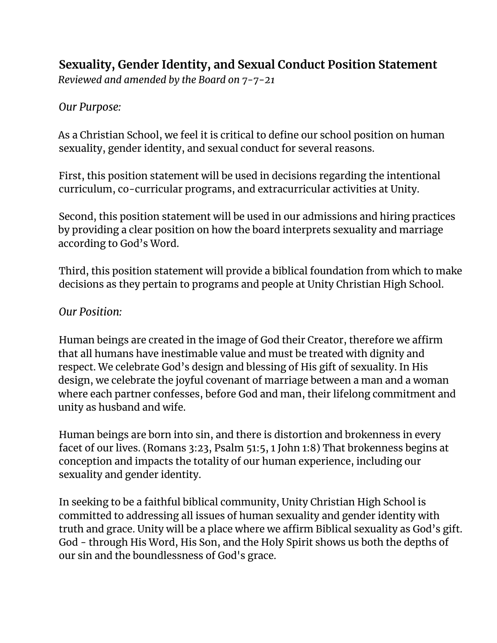## **Sexuality, Gender Identity, and Sexual Conduct Position Statement**

*Reviewed and amended by the Board on 7-7-21*

*Our Purpose:*

As a Christian School, we feel it is critical to define our school position on human sexuality, gender identity, and sexual conduct for several reasons.

First, this position statement will be used in decisions regarding the intentional curriculum, co-curricular programs, and extracurricular activities at Unity.

Second, this position statement will be used in our admissions and hiring practices by providing a clear position on how the board interprets sexuality and marriage according to God's Word.

Third, this position statement will provide a biblical foundation from which to make decisions as they pertain to programs and people at Unity Christian High School.

## *Our Position:*

Human beings are created in the image of God their Creator, therefore we affirm that all humans have inestimable value and must be treated with dignity and respect. We celebrate God's design and blessing of His gift of sexuality. In His design, we celebrate the joyful covenant of marriage between a man and a woman where each partner confesses, before God and man, their lifelong commitment and unity as husband and wife.

Human beings are born into sin, and there is distortion and brokenness in every facet of our lives. (Romans 3:23, Psalm 51:5, 1 John 1:8) That brokenness begins at conception and impacts the totality of our human experience, including our sexuality and gender identity.

In seeking to be a faithful biblical community, Unity Christian High School is committed to addressing all issues of human sexuality and gender identity with truth and grace. Unity will be a place where we affirm Biblical sexuality as God's gift. God - through His Word, His Son, and the Holy Spirit shows us both the depths of our sin and the boundlessness of God's grace.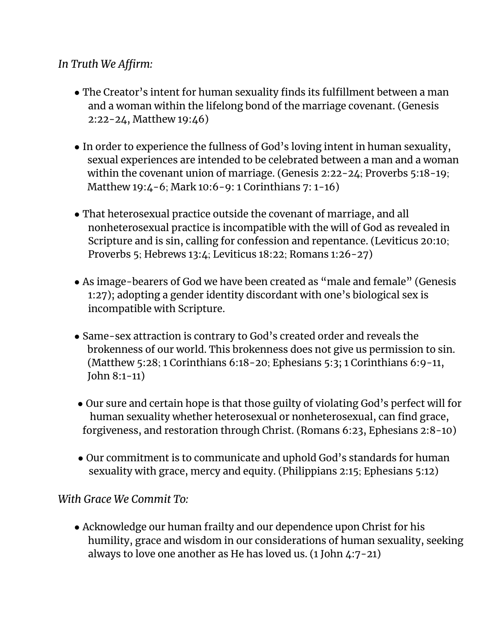## *In Truth We Affirm:*

- The Creator's intent for human sexuality finds its fulfillment between a man and a woman within the lifelong bond of the marriage covenant. (Genesis 2:22-24, Matthew 19:46)
- In order to experience the fullness of God's loving intent in human sexuality, sexual experiences are intended to be celebrated between a man and a woman within the covenant union of marriage. (Genesis 2:22-24; Proverbs 5:18-19; Matthew 19:4-6; Mark 10:6-9: 1 Corinthians 7: 1-16)
- That heterosexual practice outside the covenant of marriage, and all nonheterosexual practice is incompatible with the will of God as revealed in Scripture and is sin, calling for confession and repentance. (Leviticus 20:10; Proverbs 5; Hebrews 13:4; Leviticus 18:22; Romans 1:26-27)
- As image-bearers of God we have been created as "male and female" (Genesis 1:27); adopting a gender identity discordant with one's biological sex is incompatible with Scripture.
- Same-sex attraction is contrary to God's created order and reveals the brokenness of our world. This brokenness does not give us permission to sin. (Matthew 5:28; 1 Corinthians 6:18-20; Ephesians 5:3; 1 Corinthians 6:9-11, John 8:1-11)
- Our sure and certain hope is that those guilty of violating God's perfect will for human sexuality whether heterosexual or nonheterosexual, can find grace, forgiveness, and restoration through Christ. (Romans 6:23, Ephesians 2:8-10)
- Our commitment is to communicate and uphold God's standards for human sexuality with grace, mercy and equity. (Philippians 2:15; Ephesians 5:12)

## *With Grace We Commit To:*

• Acknowledge our human frailty and our dependence upon Christ for his humility, grace and wisdom in our considerations of human sexuality, seeking always to love one another as He has loved us. (1 John 4:7-21)